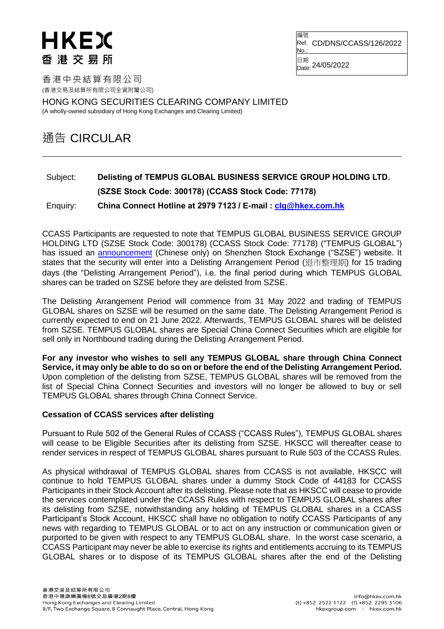## HKEX 香港交易所

編號 Ref. CD/DNS/CCASS/126/2022 No.

日期 Date: 24/05/2022

香港中央結算有限公司 (香港交易及結算所有限公司全資附屬公司)

HONG KONG SECURITIES CLEARING COMPANY LIMITED

(A wholly-owned subsidiary of Hong Kong Exchanges and Clearing Limited)

## 通告 CIRCULAR

## Subject: **Delisting of TEMPUS GLOBAL BUSINESS SERVICE GROUP HOLDING LTD. (SZSE Stock Code: 300178) (CCASS Stock Code: 77178)** Enquiry: **China Connect Hotline at 2979 7123 / E-mail : [clg@hkex.com.hk](mailto:clg@hkex.com.hk)**

CCASS Participants are requested to note that TEMPUS GLOBAL BUSINESS SERVICE GROUP HOLDING LTD (SZSE Stock Code: 300178) (CCASS Stock Code: 77178) ("TEMPUS GLOBAL") has issued an [announcement](http://disc.static.szse.cn/download/disc/disk03/finalpage/2022-05-24/449ba6d6-8fa3-4d50-a690-8ad978fa40a8.PDF) (Chinese only) on Shenzhen Stock Exchange ("SZSE") website. It states that the security will enter into a Delisting Arrangement Period (退市整理期) for 15 trading days (the "Delisting Arrangement Period"), i.e. the final period during which TEMPUS GLOBAL shares can be traded on SZSE before they are delisted from SZSE.

The Delisting Arrangement Period will commence from 31 May 2022 and trading of TEMPUS GLOBAL shares on SZSE will be resumed on the same date. The Delisting Arrangement Period is currently expected to end on 21 June 2022. Afterwards, TEMPUS GLOBAL shares will be delisted from SZSE. TEMPUS GLOBAL shares are Special China Connect Securities which are eligible for sell only in Northbound trading during the Delisting Arrangement Period.

**For any investor who wishes to sell any TEMPUS GLOBAL share through China Connect Service, it may only be able to do so on or before the end of the Delisting Arrangement Period.** Upon completion of the delisting from SZSE, TEMPUS GLOBAL shares will be removed from the list of Special China Connect Securities and investors will no longer be allowed to buy or sell TEMPUS GLOBAL shares through China Connect Service.

## **Cessation of CCASS services after delisting**

Pursuant to Rule 502 of the General Rules of CCASS ("CCASS Rules"), TEMPUS GLOBAL shares will cease to be Eligible Securities after its delisting from SZSE. HKSCC will thereafter cease to render services in respect of TEMPUS GLOBAL shares pursuant to Rule 503 of the CCASS Rules.

As physical withdrawal of TEMPUS GLOBAL shares from CCASS is not available, HKSCC will continue to hold TEMPUS GLOBAL shares under a dummy Stock Code of 44183 for CCASS Participants in their Stock Account after its delisting. Please note that as HKSCC will cease to provide the services contemplated under the CCASS Rules with respect to TEMPUS GLOBAL shares after its delisting from SZSE, notwithstanding any holding of TEMPUS GLOBAL shares in a CCASS Participant's Stock Account, HKSCC shall have no obligation to notify CCASS Participants of any news with regarding to TEMPUS GLOBAL or to act on any instruction or communication given or purported to be given with respect to any TEMPUS GLOBAL share. In the worst case scenario, a CCASS Participant may never be able to exercise its rights and entitlements accruing to its TEMPUS GLOBAL shares or to dispose of its TEMPUS GLOBAL shares after the end of the Delisting